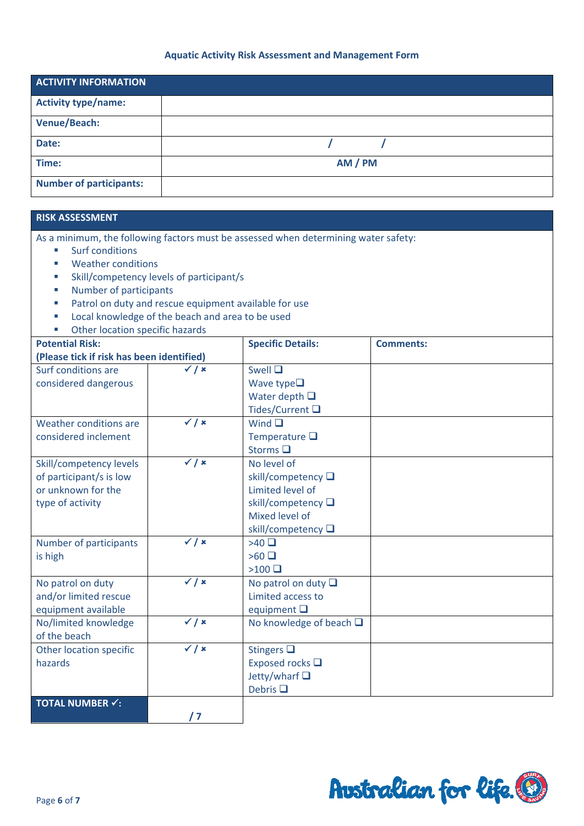## **Aquatic Activity Risk Assessment and Management Form**

| <b>ACTIVITY INFORMATION</b>    |         |
|--------------------------------|---------|
| <b>Activity type/name:</b>     |         |
| <b>Venue/Beach:</b>            |         |
| Date:                          |         |
| Time:                          | AM / PM |
| <b>Number of participants:</b> |         |

## **RISK ASSESSMENT**

As a minimum, the following factors must be assessed when determining water safety:

- Surf conditions
- **Weather conditions**
- Skill/competency levels of participant/s
- **Number of participants**
- **Patrol on duty and rescue equipment available for use**
- **Local knowledge of the beach and area to be used**
- Other location specific hazards

| Other location specific hazards           |                             |                                 |                  |
|-------------------------------------------|-----------------------------|---------------------------------|------------------|
| <b>Potential Risk:</b>                    |                             | <b>Specific Details:</b>        | <b>Comments:</b> |
| (Please tick if risk has been identified) |                             |                                 |                  |
| Surf conditions are                       | $\checkmark$ / $\checkmark$ | Swell Q                         |                  |
| considered dangerous                      |                             | Wave type $\square$             |                  |
|                                           |                             | Water depth $\Box$              |                  |
|                                           |                             | Tides/Current □                 |                  |
| Weather conditions are                    | $\checkmark$ / $\checkmark$ | Wind $\Box$                     |                  |
| considered inclement                      |                             | Temperature $\square$           |                  |
|                                           |                             | Storms <sup>I</sup>             |                  |
| Skill/competency levels                   | $\checkmark$ / $\checkmark$ | No level of                     |                  |
| of participant/s is low                   |                             | skill/competency □              |                  |
| or unknown for the                        |                             | Limited level of                |                  |
| type of activity                          |                             | skill/competency □              |                  |
|                                           |                             | Mixed level of                  |                  |
|                                           |                             | skill/competency □              |                  |
| Number of participants                    | $\checkmark$ / $\checkmark$ | >40                             |                  |
| is high                                   |                             | $>60$ $\Box$                    |                  |
|                                           |                             | >100                            |                  |
| No patrol on duty                         | $\checkmark$ / $\checkmark$ | No patrol on duty $\Box$        |                  |
| and/or limited rescue                     |                             | Limited access to               |                  |
| equipment available                       |                             | equipment $\Box$                |                  |
| No/limited knowledge                      | $\checkmark$ / $\checkmark$ | No knowledge of beach $\square$ |                  |
| of the beach                              |                             |                                 |                  |
| Other location specific                   | $\checkmark$ / $\checkmark$ | Stingers $\square$              |                  |
| hazards                                   |                             | Exposed rocks □                 |                  |
|                                           |                             | Jetty/wharf Q                   |                  |
|                                           |                             | Debris $\square$                |                  |
| <b>TOTAL NUMBER √:</b>                    |                             |                                 |                  |
|                                           | / 7                         |                                 |                  |